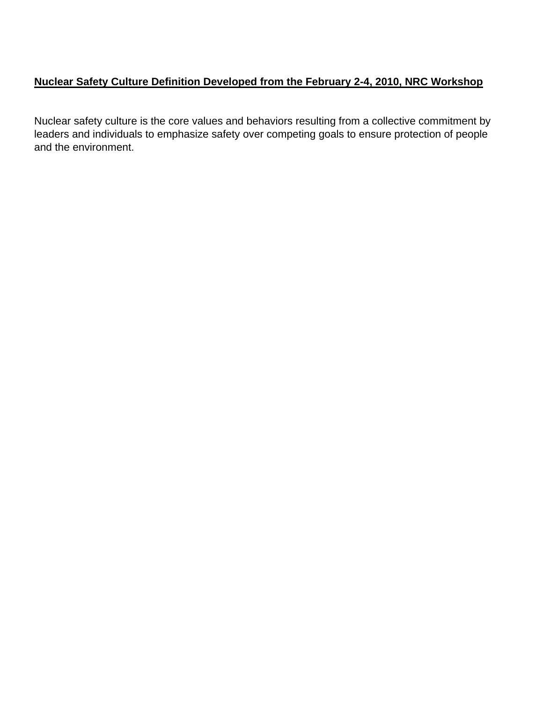# **Nuclear Safety Culture Definition Developed from the February 2-4, 2010, NRC Workshop**

Nuclear safety culture is the core values and behaviors resulting from a collective commitment by leaders and individuals to emphasize safety over competing goals to ensure protection of people and the environment.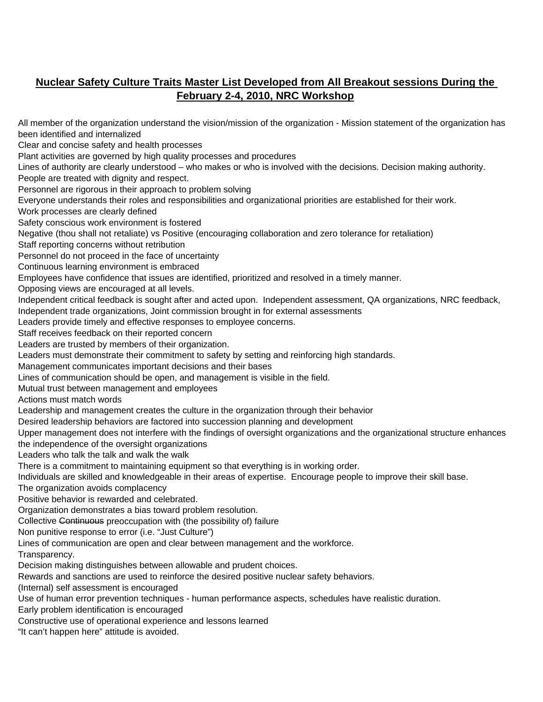# **Nuclear Safety Culture Traits Master List Developed from All Breakout sessions During the February 2-4, 2010, NRC Workshop**

All member of the organization understand the vision/mission of the organization - Mission statement of the organization has been identified and internalized Clear and concise safety and health processes Plant activities are governed by high quality processes and procedures Lines of authority are clearly understood – who makes or who is involved with the decisions. Decision making authority. People are treated with dignity and respect. Personnel are rigorous in their approach to problem solving Everyone understands their roles and responsibilities and organizational priorities are established for their work. Work processes are clearly defined Safety conscious work environment is fostered Negative (thou shall not retaliate) vs Positive (encouraging collaboration and zero tolerance for retaliation) Staff reporting concerns without retribution Personnel do not proceed in the face of uncertainty Continuous learning environment is embraced Employees have confidence that issues are identified, prioritized and resolved in a timely manner. Opposing views are encouraged at all levels. Independent critical feedback is sought after and acted upon. Independent assessment, QA organizations, NRC feedback, Independent trade organizations, Joint commission brought in for external assessments Leaders provide timely and effective responses to employee concerns. Staff receives feedback on their reported concern Leaders are trusted by members of their organization. Leaders must demonstrate their commitment to safety by setting and reinforcing high standards. Management communicates important decisions and their bases Lines of communication should be open, and management is visible in the field. Mutual trust between management and employees Actions must match words Leadership and management creates the culture in the organization through their behavior Desired leadership behaviors are factored into succession planning and development Upper management does not interfere with the findings of oversight organizations and the organizational structure enhances the independence of the oversight organizations Leaders who talk the talk and walk the walk There is a commitment to maintaining equipment so that everything is in working order. Individuals are skilled and knowledgeable in their areas of expertise. Encourage people to improve their skill base. The organization avoids complacency Positive behavior is rewarded and celebrated. Organization demonstrates a bias toward problem resolution. Collective Continuous preoccupation with (the possibility of) failure Non punitive response to error (i.e. "Just Culture") Lines of communication are open and clear between management and the workforce. Transparency. Decision making distinguishes between allowable and prudent choices. Rewards and sanctions are used to reinforce the desired positive nuclear safety behaviors. (Internal) self assessment is encouraged Use of human error prevention techniques - human performance aspects, schedules have realistic duration. Early problem identification is encouraged Constructive use of operational experience and lessons learned "It can't happen here" attitude is avoided.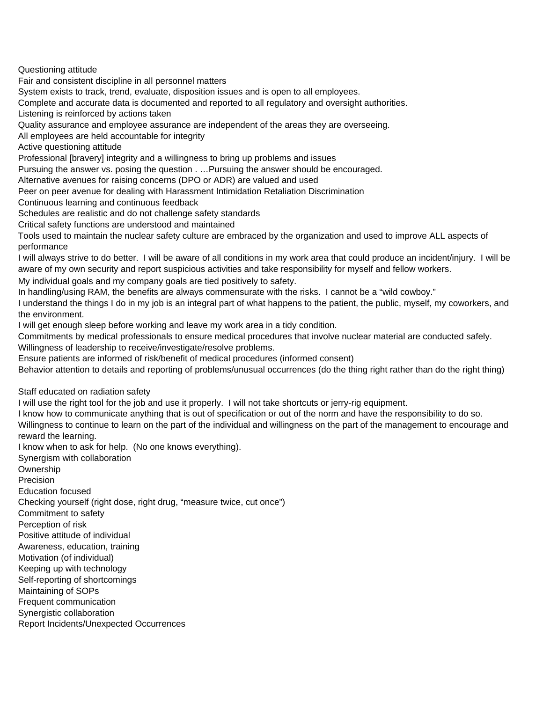Questioning attitude

Fair and consistent discipline in all personnel matters

System exists to track, trend, evaluate, disposition issues and is open to all employees.

Complete and accurate data is documented and reported to all regulatory and oversight authorities.

Listening is reinforced by actions taken

Quality assurance and employee assurance are independent of the areas they are overseeing.

All employees are held accountable for integrity

Active questioning attitude

Professional [bravery] integrity and a willingness to bring up problems and issues

Pursuing the answer vs. posing the question . …Pursuing the answer should be encouraged.

Alternative avenues for raising concerns (DPO or ADR) are valued and used

Peer on peer avenue for dealing with Harassment Intimidation Retaliation Discrimination

Continuous learning and continuous feedback

Schedules are realistic and do not challenge safety standards

Critical safety functions are understood and maintained

Tools used to maintain the nuclear safety culture are embraced by the organization and used to improve ALL aspects of performance

I will always strive to do better. I will be aware of all conditions in my work area that could produce an incident/injury. I will be aware of my own security and report suspicious activities and take responsibility for myself and fellow workers.

My individual goals and my company goals are tied positively to safety.

In handling/using RAM, the benefits are always commensurate with the risks. I cannot be a "wild cowboy."

I understand the things I do in my job is an integral part of what happens to the patient, the public, myself, my coworkers, and the environment.

I will get enough sleep before working and leave my work area in a tidy condition.

Commitments by medical professionals to ensure medical procedures that involve nuclear material are conducted safely. Willingness of leadership to receive/investigate/resolve problems.

Ensure patients are informed of risk/benefit of medical procedures (informed consent)

Behavior attention to details and reporting of problems/unusual occurrences (do the thing right rather than do the right thing)

Staff educated on radiation safety

I will use the right tool for the job and use it properly. I will not take shortcuts or jerry-rig equipment.

I know how to communicate anything that is out of specification or out of the norm and have the responsibility to do so.

Willingness to continue to learn on the part of the individual and willingness on the part of the management to encourage and reward the learning.

I know when to ask for help. (No one knows everything).

Synergism with collaboration

**Ownership** 

Precision

Education focused

Checking yourself (right dose, right drug, "measure twice, cut once")

Commitment to safety

Perception of risk

Positive attitude of individual

Awareness, education, training

Motivation (of individual)

Keeping up with technology

Self-reporting of shortcomings

Maintaining of SOPs

Frequent communication

Synergistic collaboration

Report Incidents/Unexpected Occurrences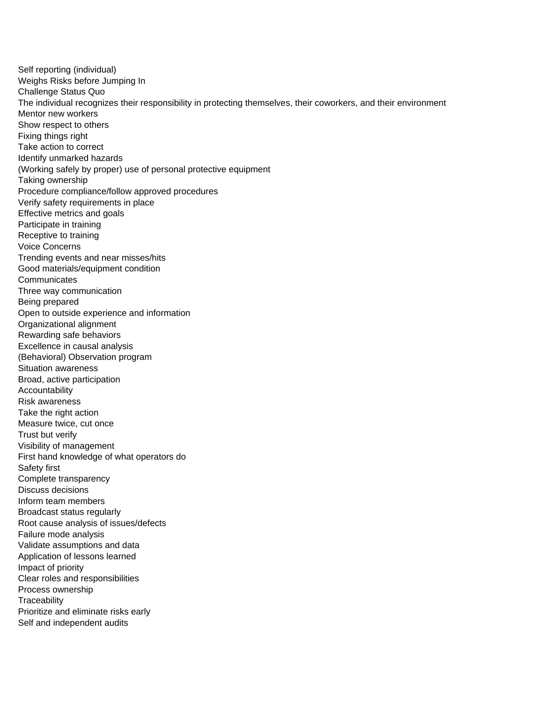Self reporting (individual) Weighs Risks before Jumping In Challenge Status Quo The individual recognizes their responsibility in protecting themselves, their coworkers, and their environment Mentor new workers Show respect to others Fixing things right Take action to correct Identify unmarked hazards (Working safely by proper) use of personal protective equipment Taking ownership Procedure compliance/follow approved procedures Verify safety requirements in place Effective metrics and goals Participate in training Receptive to training Voice Concerns Trending events and near misses/hits Good materials/equipment condition **Communicates** Three way communication Being prepared Open to outside experience and information Organizational alignment Rewarding safe behaviors Excellence in causal analysis (Behavioral) Observation program Situation awareness Broad, active participation Accountability Risk awareness Take the right action Measure twice, cut once Trust but verify Visibility of management First hand knowledge of what operators do Safety first Complete transparency Discuss decisions Inform team members Broadcast status regularly Root cause analysis of issues/defects Failure mode analysis Validate assumptions and data Application of lessons learned Impact of priority Clear roles and responsibilities Process ownership **Traceability** Prioritize and eliminate risks early Self and independent audits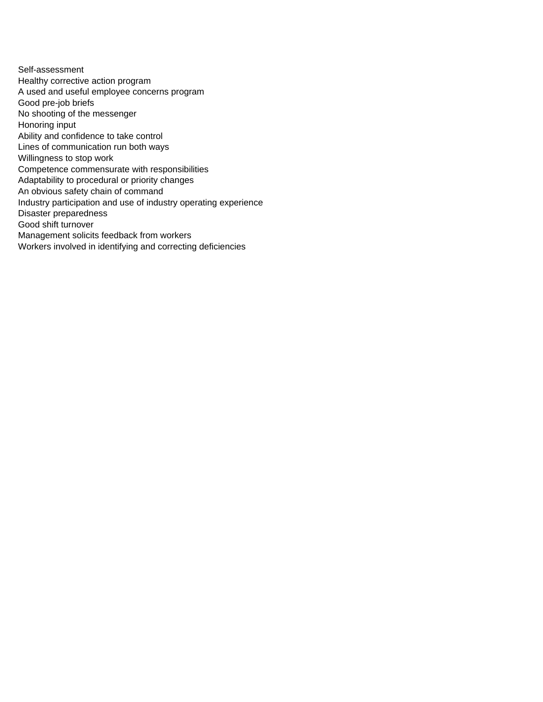Self-assessment Healthy corrective action program A used and useful employee concerns program Good pre-job briefs No shooting of the messenger Honoring input Ability and confidence to take control Lines of communication run both ways Willingness to stop work Competence commensurate with responsibilities Adaptability to procedural or priority changes An obvious safety chain of command Industry participation and use of industry operating experience Disaster preparedness Good shift turnover Management solicits feedback from workers Workers involved in identifying and correcting deficiencies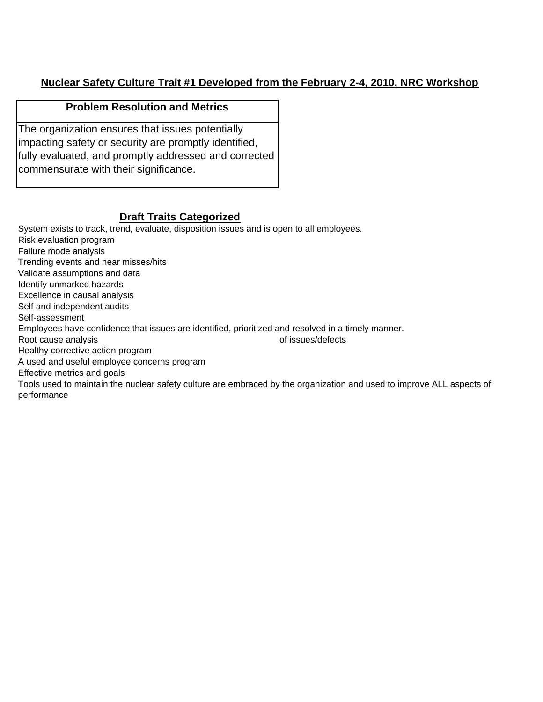# **Nuclear Safety Culture Trait #1 Developed from the February 2-4, 2010, NRC Workshop**

#### **Problem Resolution and Metrics**

The organization ensures that issues potentially impacting safety or security are promptly identified, fully evaluated, and promptly addressed and corrected commensurate with their significance.

# **Draft Traits Categorized**

System exists to track, trend, evaluate, disposition issues and is open to all employees. Risk evaluation program Failure mode analysis Trending events and near misses/hits Validate assumptions and data Identify unmarked hazards Excellence in causal analysis Self and independent audits Self-assessment Employees have confidence that issues are identified, prioritized and resolved in a timely manner. Root cause analysis **Exercise 2018 Root cause analysis of issues/defects** Healthy corrective action program A used and useful employee concerns program Effective metrics and goals Tools used to maintain the nuclear safety culture are embraced by the organization and used to improve ALL aspects of performance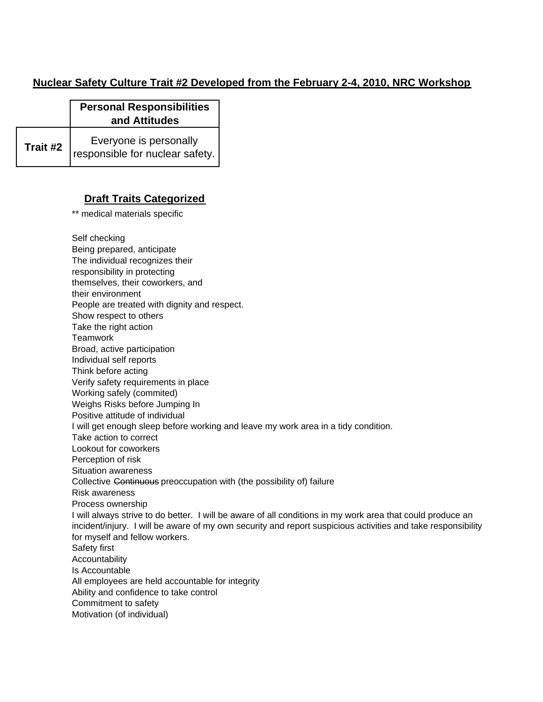### **Nuclear Safety Culture Trait #2 Developed from the February 2-4, 2010, NRC Workshop**

|          | <b>Personal Responsibilities</b><br>and Attitudes         |
|----------|-----------------------------------------------------------|
| Trait #2 | Everyone is personally<br>responsible for nuclear safety. |

#### **Draft Traits Categorized**

\*\* medical materials specific

Self checking

Being prepared, anticipate The individual recognizes their responsibility in protecting themselves, their coworkers, and their environment People are treated with dignity and respect. Show respect to others Take the right action **Teamwork** Broad, active participation Individual self reports Think before acting Verify safety requirements in place Working safely (commited) Weighs Risks before Jumping In Positive attitude of individual I will get enough sleep before working and leave my work area in a tidy condition. Take action to correct Lookout for coworkers Perception of risk Situation awareness Collective Continuous preoccupation with (the possibility of) failure Risk awareness Process ownership Safety first Accountability Is Accountable All employees are held accountable for integrity Ability and confidence to take control Commitment to safety Motivation (of individual) I will always strive to do better. I will be aware of all conditions in my work area that could produce an incident/injury. I will be aware of my own security and report suspicious activities and take responsibility for myself and fellow workers.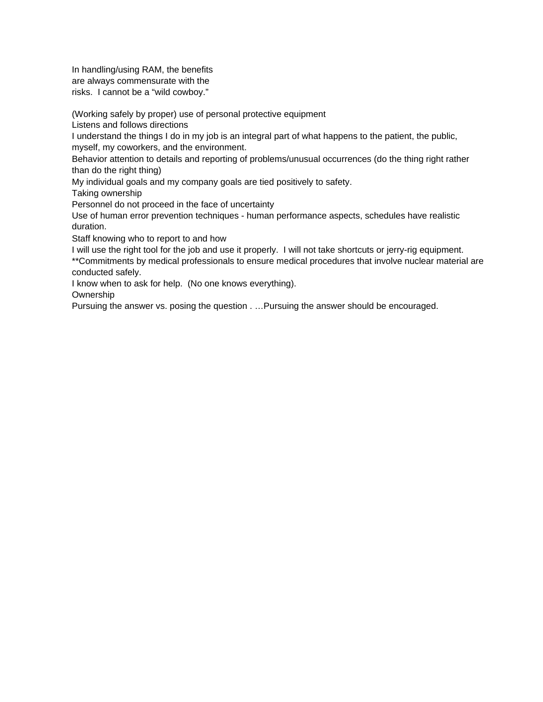In handling/using RAM, the benefits are always commensurate with the risks. I cannot be a "wild cowboy."

(Working safely by proper) use of personal protective equipment

Listens and follows directions

I understand the things I do in my job is an integral part of what happens to the patient, the public, myself, my coworkers, and the environment.

Behavior attention to details and reporting of problems/unusual occurrences (do the thing right rather than do the right thing)

My individual goals and my company goals are tied positively to safety.

Taking ownership

Personnel do not proceed in the face of uncertainty

Use of human error prevention techniques - human performance aspects, schedules have realistic duration.

Staff knowing who to report to and how

I will use the right tool for the job and use it properly. I will not take shortcuts or jerry-rig equipment. \*\*Commitments by medical professionals to ensure medical procedures that involve nuclear material are conducted safely.

I know when to ask for help. (No one knows everything).

**Ownership** 

Pursuing the answer vs. posing the question . …Pursuing the answer should be encouraged.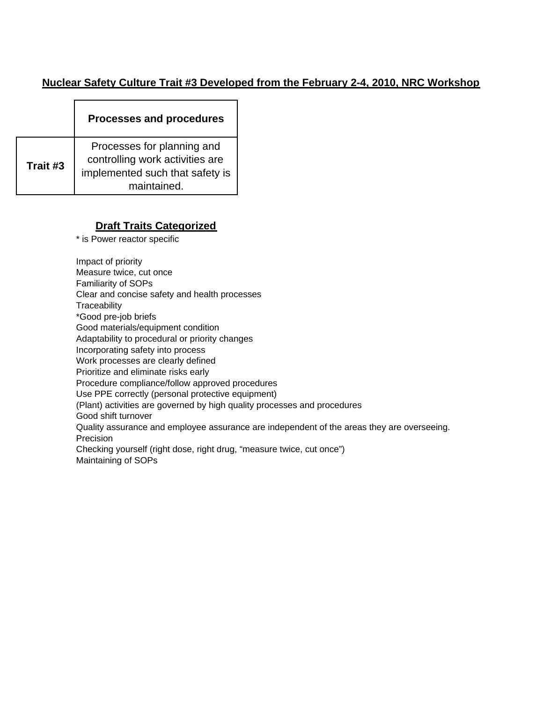#### **Nuclear Safety Culture Trait #3 Developed from the February 2-4, 2010, NRC Workshop**

|          | <b>Processes and procedures</b>                                                                                 |
|----------|-----------------------------------------------------------------------------------------------------------------|
| Trait #3 | Processes for planning and<br>controlling work activities are<br>implemented such that safety is<br>maintained. |

## **Draft Traits Categorized**

\* is Power reactor specific

Impact of priority

Measure twice, cut once

Familiarity of SOPs

Clear and concise safety and health processes

**Traceability** 

\*Good pre-job briefs

Good materials/equipment condition

Adaptability to procedural or priority changes

Incorporating safety into process

Work processes are clearly defined

Prioritize and eliminate risks early

Procedure compliance/follow approved procedures

Use PPE correctly (personal protective equipment)

(Plant) activities are governed by high quality processes and procedures

Good shift turnover

Quality assurance and employee assurance are independent of the areas they are overseeing. Precision

Checking yourself (right dose, right drug, "measure twice, cut once") Maintaining of SOPs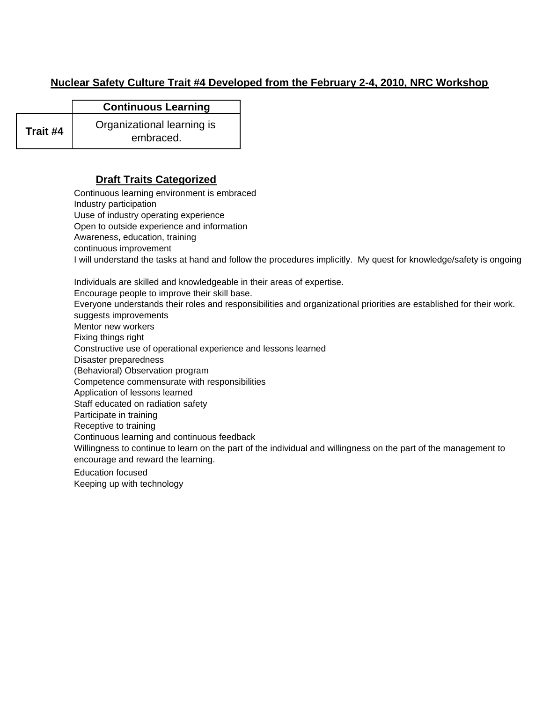# **Nuclear Safety Culture Trait #4 Developed from the February 2-4, 2010, NRC Workshop**

|          | <b>Continuous Learning</b> |
|----------|----------------------------|
| Trait #4 | Organizational learning is |
|          | embraced.                  |

#### **Draft Traits Categorized**

Continuous learning environment is embraced Industry participation Uuse of industry operating experience Open to outside experience and information Awareness, education, training continuous improvement Individuals are skilled and knowledgeable in their areas of expertise. Encourage people to improve their skill base. Everyone understands their roles and responsibilities and organizational priorities are established for their work. suggests improvements Mentor new workers Fixing things right Constructive use of operational experience and lessons learned Disaster preparedness (Behavioral) Observation program Competence commensurate with responsibilities Application of lessons learned Staff educated on radiation safety Participate in training Receptive to training Continuous learning and continuous feedback Education focused Keeping up with technology I will understand the tasks at hand and follow the procedures implicitly. My quest for knowledge/safety is ongoing Willingness to continue to learn on the part of the individual and willingness on the part of the management to encourage and reward the learning.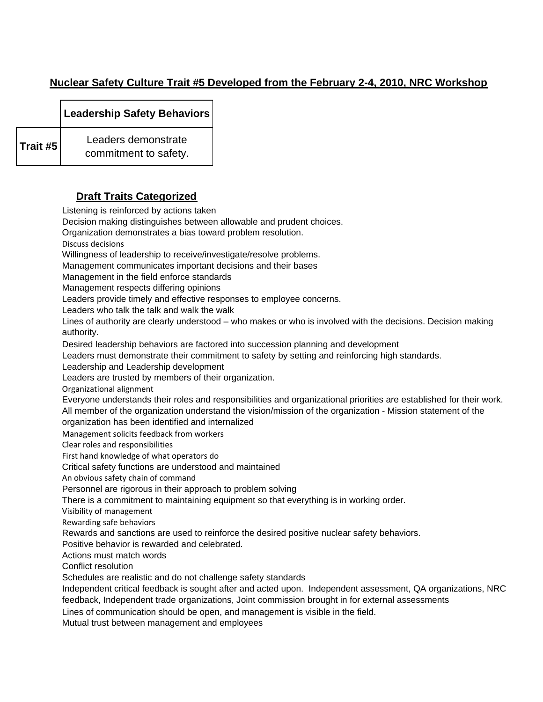# **Nuclear Safety Culture Trait #5 Developed from the February 2-4, 2010, NRC Workshop**

**Leadership Safety Behaviors**

**Trait #5** Leaders demonstrate commitment to safety.

# **Draft Traits Categorized**

Listening is reinforced by actions taken

Decision making distinguishes between allowable and prudent choices.

Organization demonstrates a bias toward problem resolution.

Discuss decisions

Willingness of leadership to receive/investigate/resolve problems.

Management communicates important decisions and their bases

Management in the field enforce standards

Management respects differing opinions

Leaders provide timely and effective responses to employee concerns.

Leaders who talk the talk and walk the walk

Lines of authority are clearly understood – who makes or who is involved with the decisions. Decision making authority.

Desired leadership behaviors are factored into succession planning and development

Leaders must demonstrate their commitment to safety by setting and reinforcing high standards.

Leadership and Leadership development

Leaders are trusted by members of their organization.

Organizational alignment

Everyone understands their roles and responsibilities and organizational priorities are established for their work. All member of the organization understand the vision/mission of the organization - Mission statement of the

organization has been identified and internalized

Management solicits feedback from workers

Clear roles and responsibilities

First hand knowledge of what operators do

Critical safety functions are understood and maintained

An obvious safety chain of command

Personnel are rigorous in their approach to problem solving

There is a commitment to maintaining equipment so that everything is in working order.

Visibility of management

Rewarding safe behaviors

Rewards and sanctions are used to reinforce the desired positive nuclear safety behaviors.

Positive behavior is rewarded and celebrated.

Actions must match words

Conflict resolution

Schedules are realistic and do not challenge safety standards

Independent critical feedback is sought after and acted upon. Independent assessment, QA organizations, NRC feedback, Independent trade organizations, Joint commission brought in for external assessments

Lines of communication should be open, and management is visible in the field.

Mutual trust between management and employees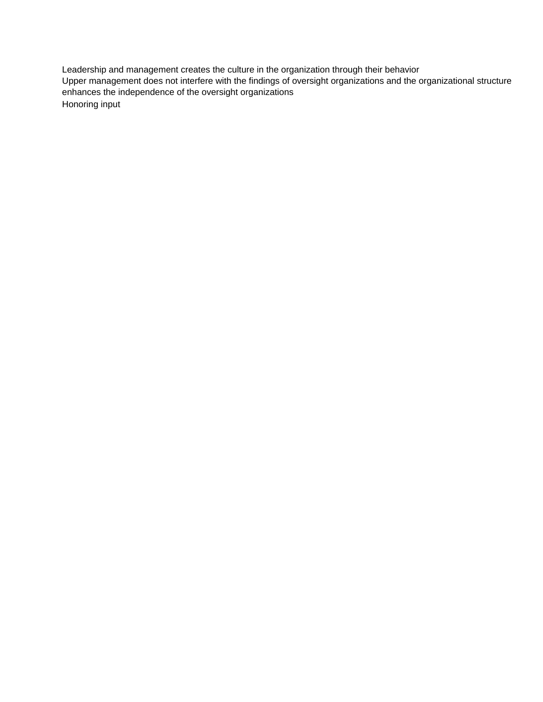Leadership and management creates the culture in the organization through their behavior Honoring input Upper management does not interfere with the findings of oversight organizations and the organizational structure enhances the independence of the oversight organizations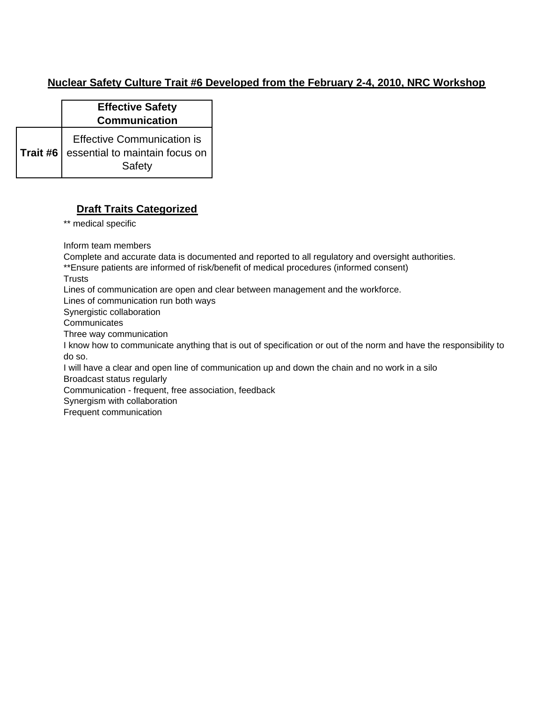## **Nuclear Safety Culture Trait #6 Developed from the February 2-4, 2010, NRC Workshop**

|          | <b>Effective Safety</b><br><b>Communication</b>                               |
|----------|-------------------------------------------------------------------------------|
| Trait #6 | <b>Effective Communication is</b><br>essential to maintain focus on<br>Safety |

#### **Draft Traits Categorized**

\*\* medical specific

Inform team members

Complete and accurate data is documented and reported to all regulatory and oversight authorities.

\*\*Ensure patients are informed of risk/benefit of medical procedures (informed consent)

**Trusts** 

Lines of communication are open and clear between management and the workforce.

Lines of communication run both ways

Synergistic collaboration

**Communicates** 

Three way communication

I know how to communicate anything that is out of specification or out of the norm and have the responsibility to do so.

I will have a clear and open line of communication up and down the chain and no work in a silo

Broadcast status regularly

Communication - frequent, free association, feedback

Synergism with collaboration

Frequent communication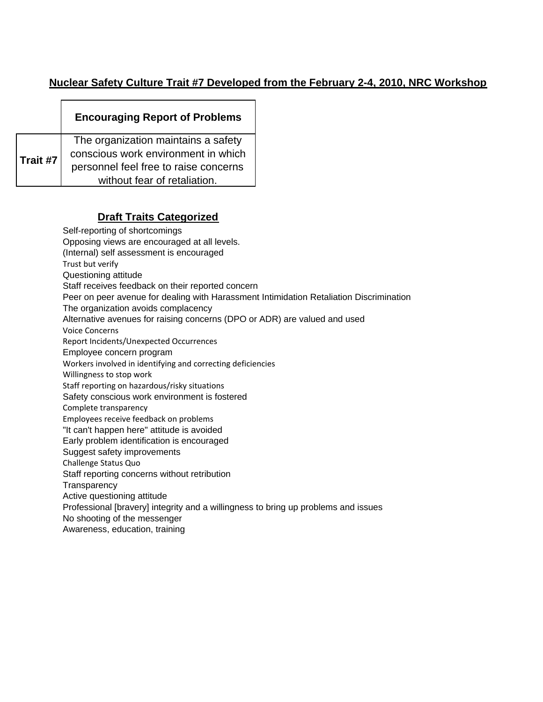## **Nuclear Safety Culture Trait #7 Developed from the February 2-4, 2010, NRC Workshop**

|          | <b>Encouraging Report of Problems</b>                                      |
|----------|----------------------------------------------------------------------------|
| Trait #7 | The organization maintains a safety<br>conscious work environment in which |
|          | personnel feel free to raise concerns                                      |
|          | without fear of retaliation.                                               |

## **Draft Traits Categorized**

Self-reporting of shortcomings Opposing views are encouraged at all levels. (Internal) self assessment is encouraged Trust but verify Questioning attitude Staff receives feedback on their reported concern Peer on peer avenue for dealing with Harassment Intimidation Retaliation Discrimination The organization avoids complacency Alternative avenues for raising concerns (DPO or ADR) are valued and used Voice Concerns Report Incidents/Unexpected Occurrences Employee concern program Workers involved in identifying and correcting deficiencies Willingness to stop work Staff reporting on hazardous/risky situations Safety conscious work environment is fostered Complete transparency Employees receive feedback on problems "It can't happen here" attitude is avoided Early problem identification is encouraged Suggest safety improvements Challenge Status Quo Staff reporting concerns without retribution **Transparency** Active questioning attitude Professional [bravery] integrity and a willingness to bring up problems and issues No shooting of the messenger Awareness, education, training